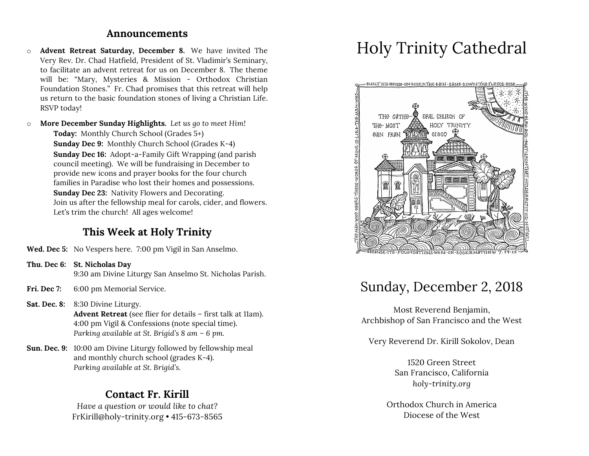#### **Announcements**

- o **Advent Retreat Saturday, December 8.** We have invited The Very Rev. Dr. Chad Hatfield, President of St. Vladimir's Seminary, to facilitate an advent retreat for us on December 8. The theme will be: "Mary, Mysteries & Mission - Orthodox Christian Foundation Stones." Fr. Chad promises that this retreat will help us return to the basic foundation stones of living a Christian Life. RSVP today!
- o **More December Sunday Highlights.** *Let us go to meet Him!* **Today:** Monthly Church School (Grades 5+) **Sunday Dec 9:** Monthly Church School (Grades K-4) **Sunday Dec 16:** Adopt-a-Family Gift Wrapping (and parish council meeting). We will be fundraising in December to provide new icons and prayer books for the four church families in Paradise who lost their homes and possessions. **Sunday Dec 23:** Nativity Flowers and Decorating. Join us after the fellowship meal for carols, cider, and flowers. Let's trim the church! All ages welcome!

# **This Week at Holy Trinity**

- **Wed. Dec 5:** No Vespers here. 7:00 pm Vigil in San Anselmo.
- **Thu. Dec 6: St. Nicholas Day** 9:30 am Divine Liturgy San Anselmo St. Nicholas Parish.
- **Fri. Dec 7:** 6:00 pm Memorial Service.
- **Sat. Dec. 8:** 8:30 Divine Liturgy. **Advent Retreat** (see flier for details – first talk at 11am). 4:00 pm Vigil & Confessions (note special time). *Parking available at St. Brigid's 8 am – 6 pm.*
- **Sun. Dec. 9:** 10:00 am Divine Liturgy followed by fellowship meal and monthly church school (grades K-4). *Parking available at St. Brigid's.*

### **Contact Fr. Kirill**

*Have a question or would like to chat?* FrKirill@holy-trinity.org • 415-673-8565

# Holy Trinity Cathedral



# Sunday, December 2, 2018

Most Reverend Benjamin, Archbishop of San Francisco and the West

Very Reverend Dr. Kirill Sokolov, Dean

1520 Green Street San Francisco, California *holy-trinity.org*

Orthodox Church in America Diocese of the West